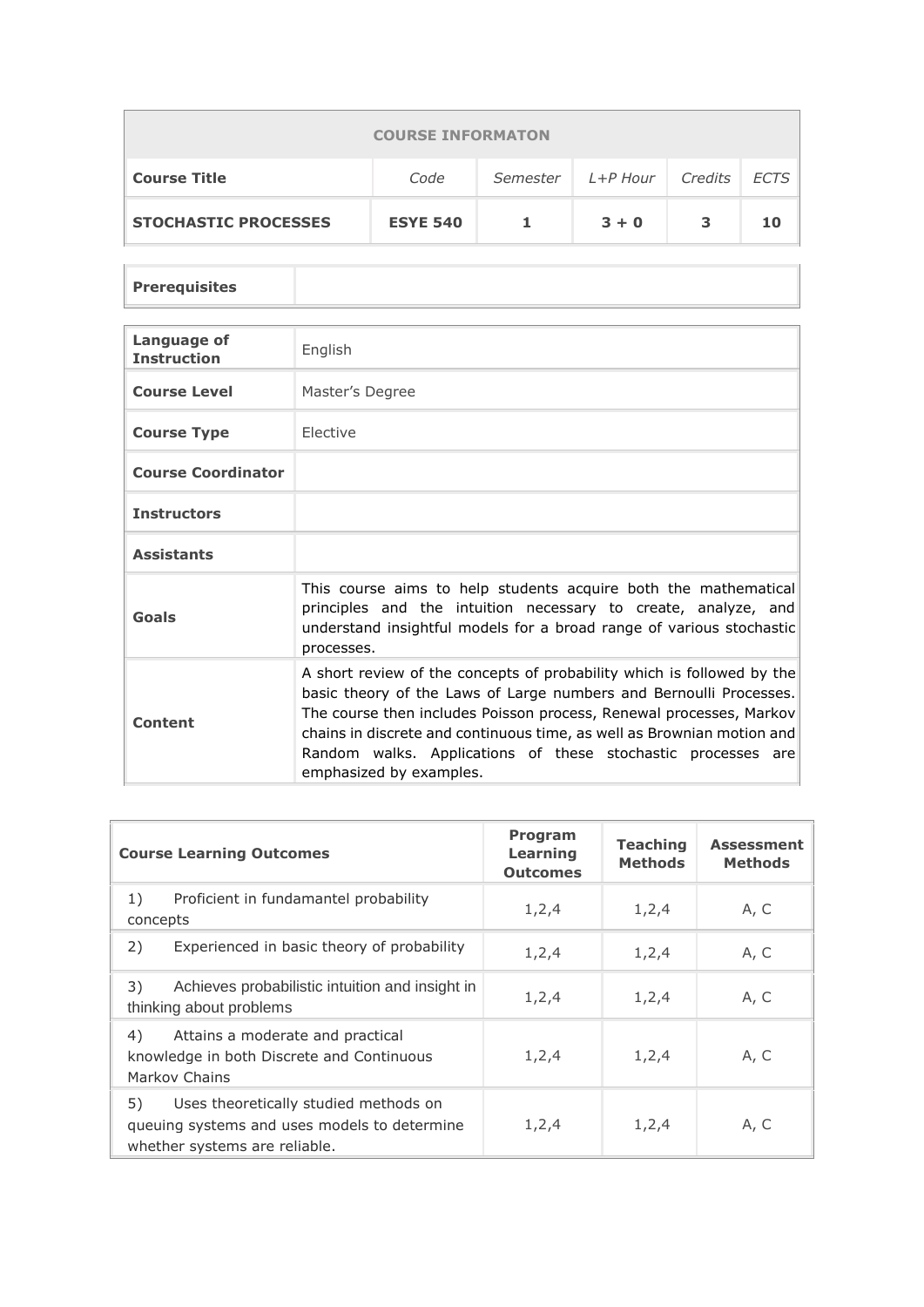| <b>COURSE INFORMATON</b>    |                 |          |                            |   |    |  |  |
|-----------------------------|-----------------|----------|----------------------------|---|----|--|--|
| <b>Course Title</b>         | Code            | Semester | Credits   ECTS<br>L+P Hour |   |    |  |  |
| <b>STOCHASTIC PROCESSES</b> | <b>ESYE 540</b> |          | $3 + 0$                    | 3 | 10 |  |  |

**Prerequisites**

l.

| Language of<br><b>Instruction</b> | English                                                                                                                                                                                                                                                                                                                                                                                  |
|-----------------------------------|------------------------------------------------------------------------------------------------------------------------------------------------------------------------------------------------------------------------------------------------------------------------------------------------------------------------------------------------------------------------------------------|
| <b>Course Level</b>               | Master's Degree                                                                                                                                                                                                                                                                                                                                                                          |
| <b>Course Type</b>                | <b>Flective</b>                                                                                                                                                                                                                                                                                                                                                                          |
| <b>Course Coordinator</b>         |                                                                                                                                                                                                                                                                                                                                                                                          |
| <b>Instructors</b>                |                                                                                                                                                                                                                                                                                                                                                                                          |
| <b>Assistants</b>                 |                                                                                                                                                                                                                                                                                                                                                                                          |
| Goals                             | This course aims to help students acquire both the mathematical<br>principles and the intuition necessary to create, analyze, and<br>understand insightful models for a broad range of various stochastic<br>processes.                                                                                                                                                                  |
| Content                           | A short review of the concepts of probability which is followed by the<br>basic theory of the Laws of Large numbers and Bernoulli Processes.<br>The course then includes Poisson process, Renewal processes, Markov<br>chains in discrete and continuous time, as well as Brownian motion and<br>Random walks. Applications of these stochastic processes are<br>emphasized by examples. |

| <b>Course Learning Outcomes</b>                                                                                              | Program<br>Learning<br><b>Outcomes</b> | <b>Teaching</b><br><b>Methods</b> | <b>Assessment</b><br><b>Methods</b> |
|------------------------------------------------------------------------------------------------------------------------------|----------------------------------------|-----------------------------------|-------------------------------------|
| 1)<br>Proficient in fundamantel probability<br>concepts                                                                      | 1, 2, 4                                | 1, 2, 4                           | A, C                                |
| 2)<br>Experienced in basic theory of probability                                                                             | 1, 2, 4                                | 1, 2, 4                           | A, C                                |
| 3)<br>Achieves probabilistic intuition and insight in<br>thinking about problems                                             | 1, 2, 4                                | 1, 2, 4                           | A, C                                |
| 4)<br>Attains a moderate and practical<br>knowledge in both Discrete and Continuous<br>Markov Chains                         | 1, 2, 4                                | 1, 2, 4                           | A, C                                |
| 5)<br>Uses theoretically studied methods on<br>queuing systems and uses models to determine<br>whether systems are reliable. | 1,2,4                                  | 1,2,4                             | A, C                                |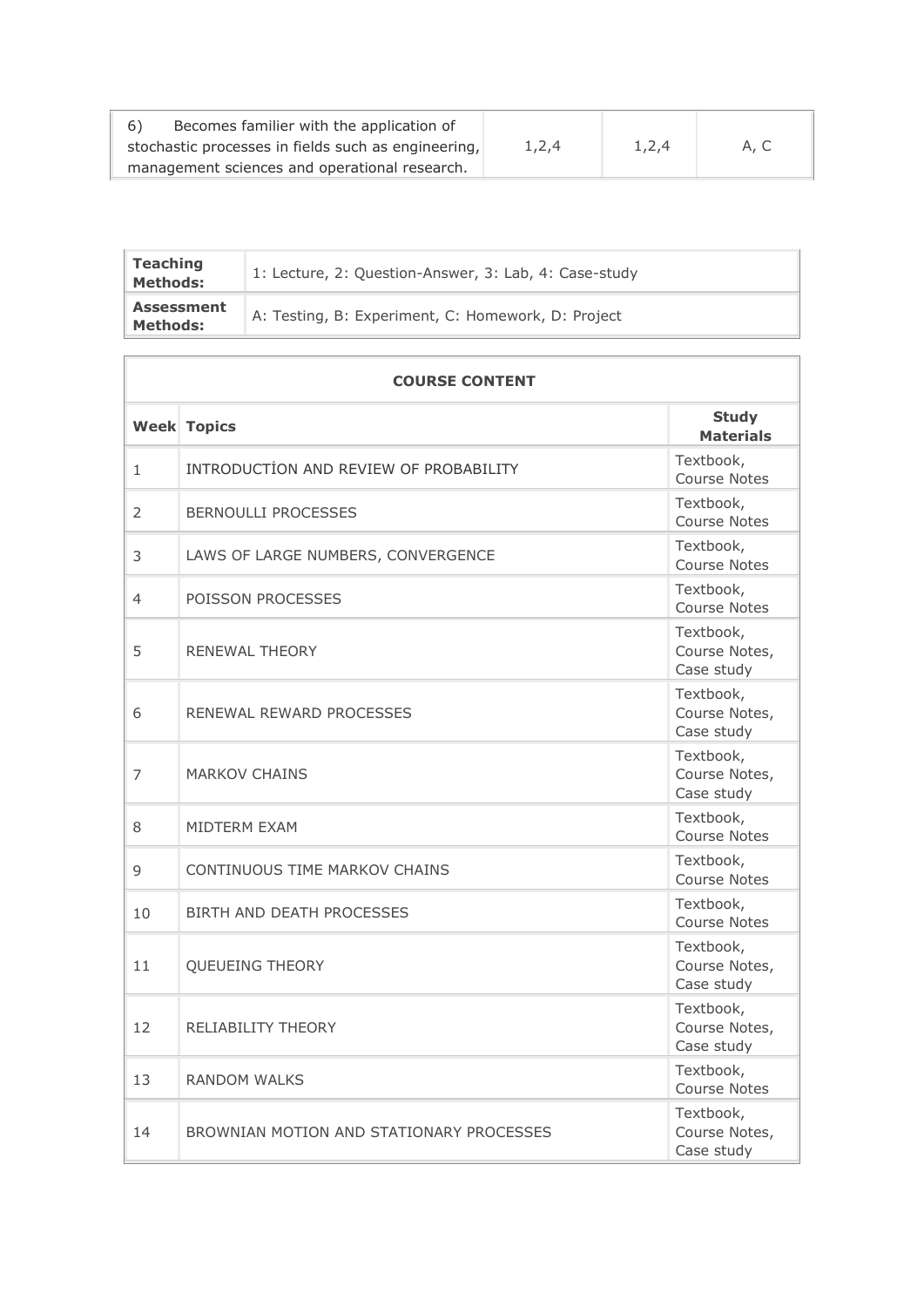| -6) | Becomes familier with the application of            |       |       |      |
|-----|-----------------------------------------------------|-------|-------|------|
|     | stochastic processes in fields such as engineering, | 1,2,4 | 1.2.4 | A. C |
|     | management sciences and operational research.       |       |       |      |

| <b>Teaching</b><br><b>Methods:</b>   | 1: Lecture, 2: Question-Answer, 3: Lab, 4: Case-study |
|--------------------------------------|-------------------------------------------------------|
| <b>Assessment</b><br><b>Methods:</b> | A: Testing, B: Experiment, C: Homework, D: Project    |

| <b>COURSE CONTENT</b> |                                          |                                          |  |  |
|-----------------------|------------------------------------------|------------------------------------------|--|--|
|                       | <b>Week Topics</b>                       | <b>Study</b><br><b>Materials</b>         |  |  |
| $\mathbf{1}$          | INTRODUCTION AND REVIEW OF PROBABILITY   | Textbook,<br><b>Course Notes</b>         |  |  |
| 2                     | <b>BERNOULLI PROCESSES</b>               | Textbook,<br>Course Notes                |  |  |
| 3                     | LAWS OF LARGE NUMBERS, CONVERGENCE       | Textbook,<br><b>Course Notes</b>         |  |  |
| 4                     | POISSON PROCESSES                        | Textbook,<br>Course Notes                |  |  |
| 5                     | RENEWAL THEORY                           | Textbook,<br>Course Notes,<br>Case study |  |  |
| 6                     | RENEWAL REWARD PROCESSES                 | Textbook,<br>Course Notes,<br>Case study |  |  |
| 7                     | <b>MARKOV CHAINS</b>                     | Textbook,<br>Course Notes,<br>Case study |  |  |
| 8                     | <b>MIDTERM EXAM</b>                      | Textbook,<br><b>Course Notes</b>         |  |  |
| 9                     | CONTINUOUS TIME MARKOV CHAINS            | Textbook,<br>Course Notes                |  |  |
| 10                    | BIRTH AND DEATH PROCESSES                | Textbook,<br><b>Course Notes</b>         |  |  |
| 11                    | QUEUEING THEORY                          | Textbook,<br>Course Notes,<br>Case study |  |  |
| 12                    | <b>RELIABILITY THEORY</b>                | Textbook,<br>Course Notes,<br>Case study |  |  |
| 13                    | <b>RANDOM WALKS</b>                      | Textbook,<br>Course Notes                |  |  |
| 14                    | BROWNIAN MOTION AND STATIONARY PROCESSES | Textbook,<br>Course Notes,<br>Case study |  |  |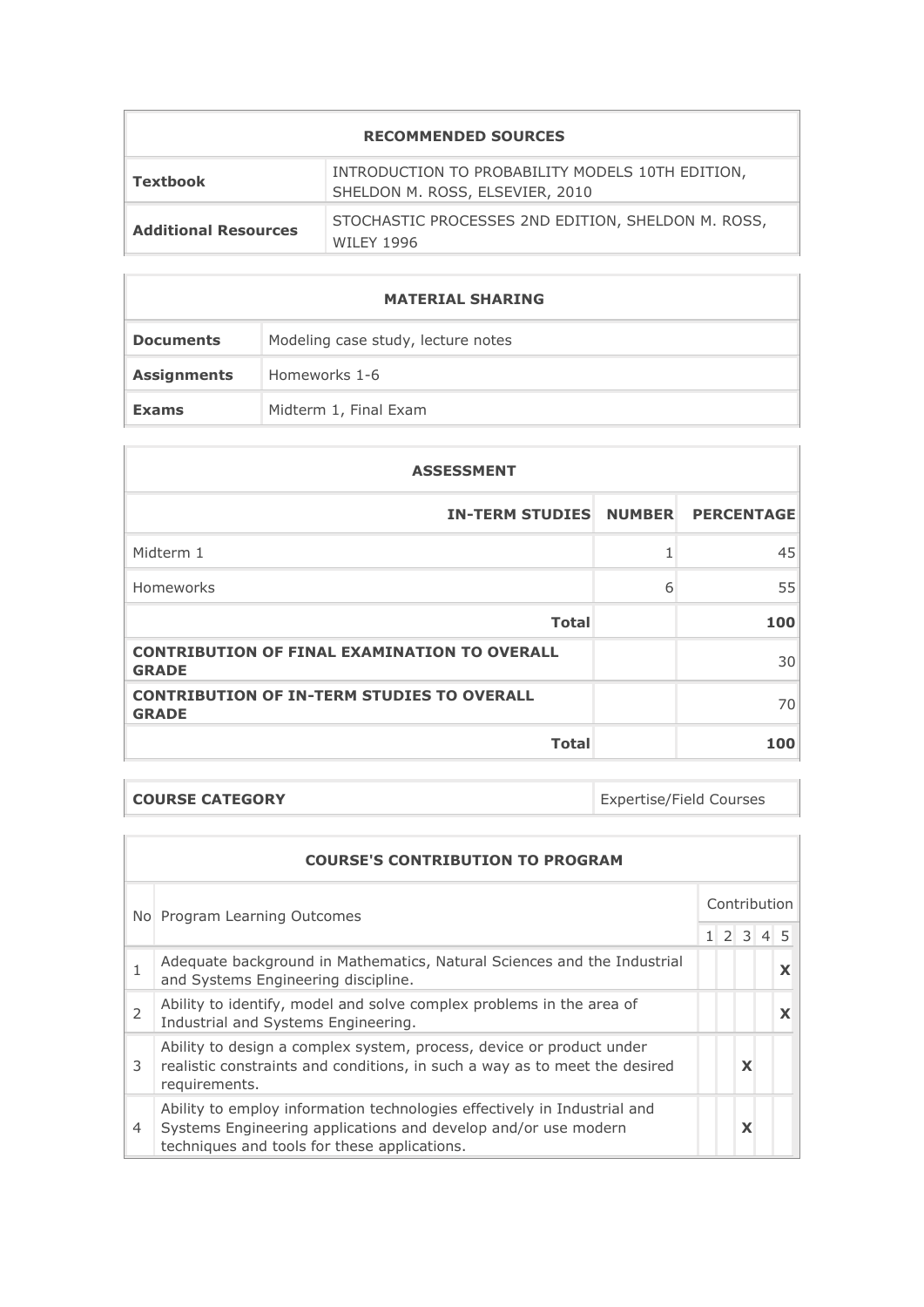| Textbook                    | INTRODUCTION TO PROBABILITY MODELS 10TH EDITION,<br>SHELDON M. ROSS, ELSEVIER, 2010 |
|-----------------------------|-------------------------------------------------------------------------------------|
| <b>Additional Resources</b> | STOCHASTIC PROCESSES 2ND EDITION, SHELDON M. ROSS,<br>WILFY 1996                    |

| <b>MATERIAL SHARING</b> |                                    |  |  |
|-------------------------|------------------------------------|--|--|
| <b>Documents</b>        | Modeling case study, lecture notes |  |  |
| <b>Assignments</b>      | Homeworks 1-6                      |  |  |
| <b>Exams</b>            | Midterm 1, Final Exam              |  |  |

| <b>ASSESSMENT</b>                                                   |   |                   |
|---------------------------------------------------------------------|---|-------------------|
| <b>IN-TERM STUDIES NUMBER</b>                                       |   | <b>PERCENTAGE</b> |
| Midterm 1                                                           |   | 45                |
| Homeworks                                                           | 6 | 55                |
| <b>Total</b>                                                        |   | 100               |
| <b>CONTRIBUTION OF FINAL EXAMINATION TO OVERALL</b><br><b>GRADE</b> |   | 30                |
| <b>CONTRIBUTION OF IN-TERM STUDIES TO OVERALL</b><br><b>GRADE</b>   |   | 70                |
| <b>Total</b>                                                        |   | 100               |

**COURSE CATEGORY Expertise/Field Courses** 

| <b>COURSE'S CONTRIBUTION TO PROGRAM</b> |                                                                                                                                                                                            |              |  |      |  |  |
|-----------------------------------------|--------------------------------------------------------------------------------------------------------------------------------------------------------------------------------------------|--------------|--|------|--|--|
|                                         | No Program Learning Outcomes                                                                                                                                                               | Contribution |  |      |  |  |
|                                         |                                                                                                                                                                                            |              |  | 1234 |  |  |
|                                         | Adequate background in Mathematics, Natural Sciences and the Industrial<br>and Systems Engineering discipline.                                                                             |              |  |      |  |  |
| $\overline{2}$                          | Ability to identify, model and solve complex problems in the area of<br>Industrial and Systems Engineering.                                                                                |              |  |      |  |  |
| 3                                       | Ability to design a complex system, process, device or product under<br>realistic constraints and conditions, in such a way as to meet the desired<br>requirements.                        |              |  | X    |  |  |
| 4                                       | Ability to employ information technologies effectively in Industrial and<br>Systems Engineering applications and develop and/or use modern<br>techniques and tools for these applications. |              |  | X    |  |  |